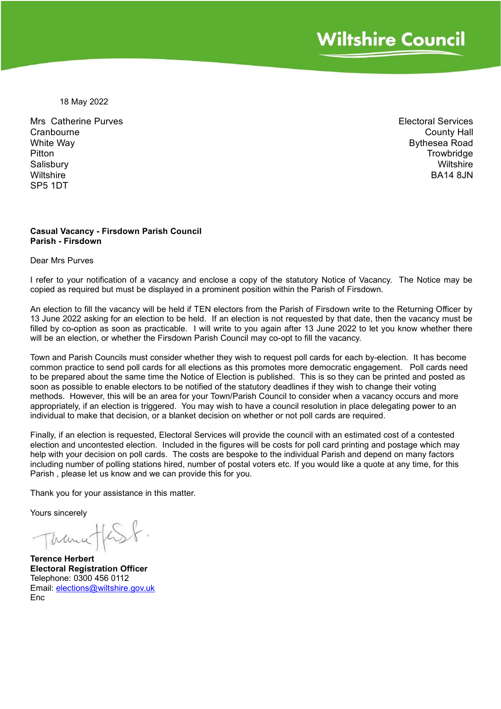18 May 2022

Mrs Catherine Purves **Cranbourne** White Way Pitton Salisbury **Wiltshire** SP5 1DT

Electoral Services County Hall Bythesea Road **Trowbridge Wiltshire BA14 8.IN** 

#### **Casual Vacancy - Firsdown Parish Council Parish - Firsdown**

Dear Mrs Purves

I refer to your notification of a vacancy and enclose a copy of the statutory Notice of Vacancy. The Notice may be copied as required but must be displayed in a prominent position within the Parish of Firsdown.

An election to fill the vacancy will be held if TEN electors from the Parish of Firsdown write to the Returning Officer by 13 June 2022 asking for an election to be held. If an election is not requested by that date, then the vacancy must be filled by co-option as soon as practicable. I will write to you again after 13 June 2022 to let you know whether there will be an election, or whether the Firsdown Parish Council may co-opt to fill the vacancy.

Town and Parish Councils must consider whether they wish to request poll cards for each by-election. It has become common practice to send poll cards for all elections as this promotes more democratic engagement. Poll cards need to be prepared about the same time the Notice of Election is published. This is so they can be printed and posted as soon as possible to enable electors to be notified of the statutory deadlines if they wish to change their voting methods. However, this will be an area for your Town/Parish Council to consider when a vacancy occurs and more appropriately, if an election is triggered. You may wish to have a council resolution in place delegating power to an individual to make that decision, or a blanket decision on whether or not poll cards are required.

Finally, if an election is requested, Electoral Services will provide the council with an estimated cost of a contested election and uncontested election. Included in the figures will be costs for poll card printing and postage which may help with your decision on poll cards. The costs are bespoke to the individual Parish and depend on many factors including number of polling stations hired, number of postal voters etc. If you would like a quote at any time, for this Parish , please let us know and we can provide this for you.

Thank you for your assistance in this matter.

Yours sincerely

Trance / 6SF

**Terence Herbert Electoral Registration Officer** Telephone: 0300 456 0112 Email: [elections@wiltshire.gov.uk](mailto:elections@wiltshire.gov.uk) Enc